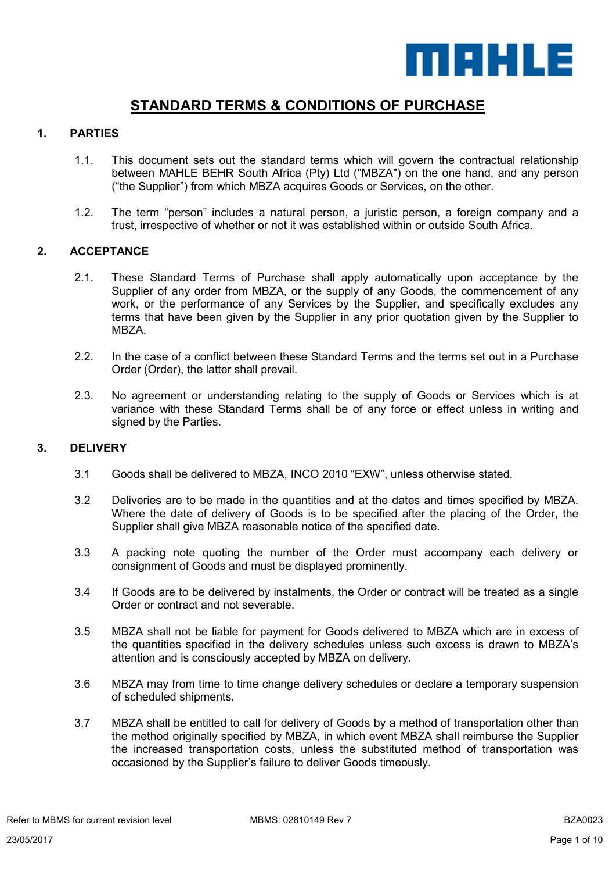

# **STANDARD TERMS & CONDITIONS OF PURCHASE**

## **1. PARTIES**

- 1.1. This document sets out the standard terms which will govern the contractual relationship between MAHLE BEHR South Africa (Pty) Ltd ("MBZA") on the one hand, and any person ("the Supplier") from which MBZA acquires Goods or Services, on the other.
- 1.2. The term "person" includes a natural person, a juristic person, a foreign company and a trust, irrespective of whether or not it was established within or outside South Africa.

### **2. ACCEPTANCE**

- 2.1. These Standard Terms of Purchase shall apply automatically upon acceptance by the Supplier of any order from MBZA, or the supply of any Goods, the commencement of any work, or the performance of any Services by the Supplier, and specifically excludes any terms that have been given by the Supplier in any prior quotation given by the Supplier to MBZA.
- 2.2. In the case of a conflict between these Standard Terms and the terms set out in a Purchase Order (Order), the latter shall prevail.
- 2.3. No agreement or understanding relating to the supply of Goods or Services which is at variance with these Standard Terms shall be of any force or effect unless in writing and signed by the Parties.

#### **3. DELIVERY**

- 3.1 Goods shall be delivered to MBZA, INCO 2010 "EXW", unless otherwise stated.
- 3.2 Deliveries are to be made in the quantities and at the dates and times specified by MBZA. Where the date of delivery of Goods is to be specified after the placing of the Order, the Supplier shall give MBZA reasonable notice of the specified date.
- 3.3 A packing note quoting the number of the Order must accompany each delivery or consignment of Goods and must be displayed prominently.
- 3.4 If Goods are to be delivered by instalments, the Order or contract will be treated as a single Order or contract and not severable.
- 3.5 MBZA shall not be liable for payment for Goods delivered to MBZA which are in excess of the quantities specified in the delivery schedules unless such excess is drawn to MBZA's attention and is consciously accepted by MBZA on delivery.
- 3.6 MBZA may from time to time change delivery schedules or declare a temporary suspension of scheduled shipments.
- 3.7 MBZA shall be entitled to call for delivery of Goods by a method of transportation other than the method originally specified by MBZA, in which event MBZA shall reimburse the Supplier the increased transportation costs, unless the substituted method of transportation was occasioned by the Supplier's failure to deliver Goods timeously.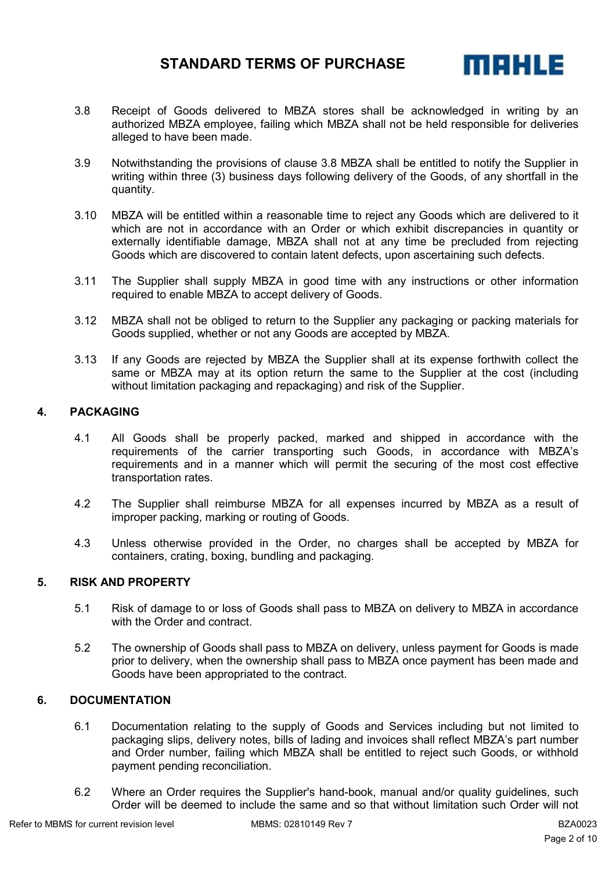

- 3.8 Receipt of Goods delivered to MBZA stores shall be acknowledged in writing by an authorized MBZA employee, failing which MBZA shall not be held responsible for deliveries alleged to have been made.
- 3.9 Notwithstanding the provisions of clause 3.8 MBZA shall be entitled to notify the Supplier in writing within three (3) business days following delivery of the Goods, of any shortfall in the quantity.
- 3.10 MBZA will be entitled within a reasonable time to reject any Goods which are delivered to it which are not in accordance with an Order or which exhibit discrepancies in quantity or externally identifiable damage, MBZA shall not at any time be precluded from rejecting Goods which are discovered to contain latent defects, upon ascertaining such defects.
- 3.11 The Supplier shall supply MBZA in good time with any instructions or other information required to enable MBZA to accept delivery of Goods.
- 3.12 MBZA shall not be obliged to return to the Supplier any packaging or packing materials for Goods supplied, whether or not any Goods are accepted by MBZA.
- 3.13 If any Goods are rejected by MBZA the Supplier shall at its expense forthwith collect the same or MBZA may at its option return the same to the Supplier at the cost (including without limitation packaging and repackaging) and risk of the Supplier.

### **4. PACKAGING**

- 4.1 All Goods shall be properly packed, marked and shipped in accordance with the requirements of the carrier transporting such Goods, in accordance with MBZA's requirements and in a manner which will permit the securing of the most cost effective transportation rates.
- 4.2 The Supplier shall reimburse MBZA for all expenses incurred by MBZA as a result of improper packing, marking or routing of Goods.
- 4.3 Unless otherwise provided in the Order, no charges shall be accepted by MBZA for containers, crating, boxing, bundling and packaging.

#### **5. RISK AND PROPERTY**

- 5.1 Risk of damage to or loss of Goods shall pass to MBZA on delivery to MBZA in accordance with the Order and contract.
- 5.2 The ownership of Goods shall pass to MBZA on delivery, unless payment for Goods is made prior to delivery, when the ownership shall pass to MBZA once payment has been made and Goods have been appropriated to the contract.

## **6. DOCUMENTATION**

- 6.1 Documentation relating to the supply of Goods and Services including but not limited to packaging slips, delivery notes, bills of lading and invoices shall reflect MBZA's part number and Order number, failing which MBZA shall be entitled to reject such Goods, or withhold payment pending reconciliation.
- 6.2 Where an Order requires the Supplier's hand-book, manual and/or quality guidelines, such Order will be deemed to include the same and so that without limitation such Order will not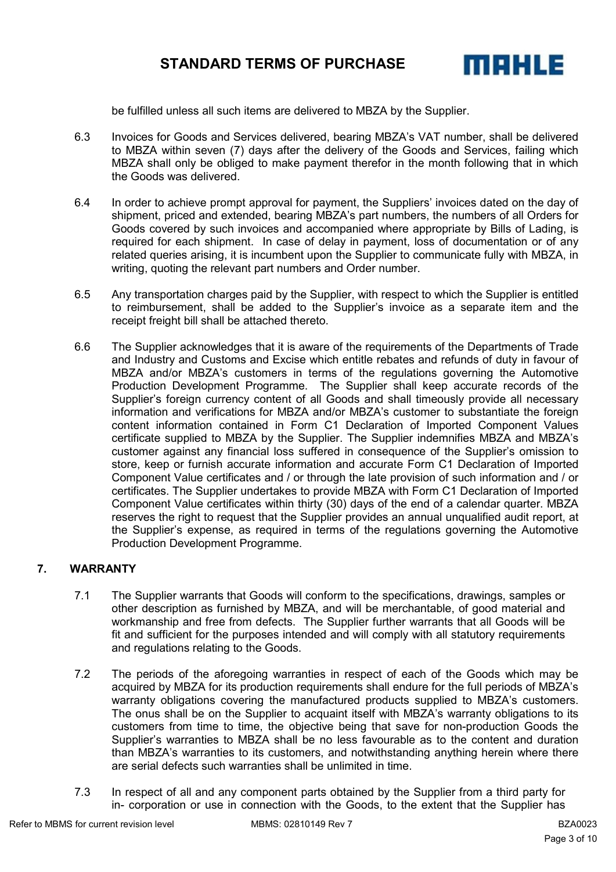

be fulfilled unless all such items are delivered to MBZA by the Supplier.

- 6.3 Invoices for Goods and Services delivered, bearing MBZA's VAT number, shall be delivered to MBZA within seven (7) days after the delivery of the Goods and Services, failing which MBZA shall only be obliged to make payment therefor in the month following that in which the Goods was delivered.
- 6.4 In order to achieve prompt approval for payment, the Suppliers' invoices dated on the day of shipment, priced and extended, bearing MBZA's part numbers, the numbers of all Orders for Goods covered by such invoices and accompanied where appropriate by Bills of Lading, is required for each shipment. In case of delay in payment, loss of documentation or of any related queries arising, it is incumbent upon the Supplier to communicate fully with MBZA, in writing, quoting the relevant part numbers and Order number.
- 6.5 Any transportation charges paid by the Supplier, with respect to which the Supplier is entitled to reimbursement, shall be added to the Supplier's invoice as a separate item and the receipt freight bill shall be attached thereto.
- 6.6 The Supplier acknowledges that it is aware of the requirements of the Departments of Trade and Industry and Customs and Excise which entitle rebates and refunds of duty in favour of MBZA and/or MBZA's customers in terms of the regulations governing the Automotive Production Development Programme. The Supplier shall keep accurate records of the Supplier's foreign currency content of all Goods and shall timeously provide all necessary information and verifications for MBZA and/or MBZA's customer to substantiate the foreign content information contained in Form C1 Declaration of Imported Component Values certificate supplied to MBZA by the Supplier. The Supplier indemnifies MBZA and MBZA's customer against any financial loss suffered in consequence of the Supplier's omission to store, keep or furnish accurate information and accurate Form C1 Declaration of Imported Component Value certificates and / or through the late provision of such information and / or certificates. The Supplier undertakes to provide MBZA with Form C1 Declaration of Imported Component Value certificates within thirty (30) days of the end of a calendar quarter. MBZA reserves the right to request that the Supplier provides an annual unqualified audit report, at the Supplier's expense, as required in terms of the regulations governing the Automotive Production Development Programme.

## **7. WARRANTY**

- 7.1 The Supplier warrants that Goods will conform to the specifications, drawings, samples or other description as furnished by MBZA, and will be merchantable, of good material and workmanship and free from defects. The Supplier further warrants that all Goods will be fit and sufficient for the purposes intended and will comply with all statutory requirements and regulations relating to the Goods.
- 7.2 The periods of the aforegoing warranties in respect of each of the Goods which may be acquired by MBZA for its production requirements shall endure for the full periods of MBZA's warranty obligations covering the manufactured products supplied to MBZA's customers. The onus shall be on the Supplier to acquaint itself with MBZA's warranty obligations to its customers from time to time, the objective being that save for non-production Goods the Supplier's warranties to MBZA shall be no less favourable as to the content and duration than MBZA's warranties to its customers, and notwithstanding anything herein where there are serial defects such warranties shall be unlimited in time.
- 7.3 In respect of all and any component parts obtained by the Supplier from a third party for in- corporation or use in connection with the Goods, to the extent that the Supplier has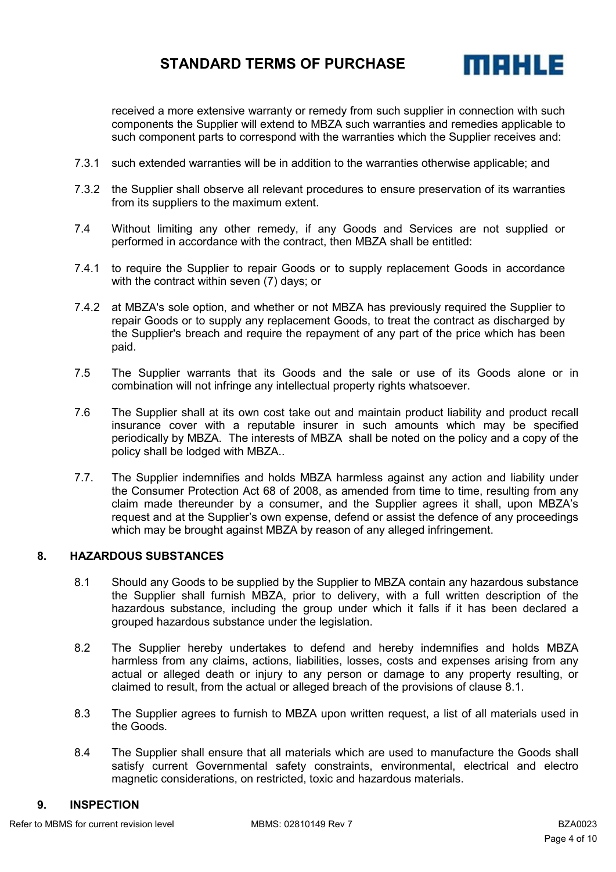

received a more extensive warranty or remedy from such supplier in connection with such components the Supplier will extend to MBZA such warranties and remedies applicable to such component parts to correspond with the warranties which the Supplier receives and:

- 7.3.1 such extended warranties will be in addition to the warranties otherwise applicable; and
- 7.3.2 the Supplier shall observe all relevant procedures to ensure preservation of its warranties from its suppliers to the maximum extent.
- 7.4 Without limiting any other remedy, if any Goods and Services are not supplied or performed in accordance with the contract, then MBZA shall be entitled:
- 7.4.1 to require the Supplier to repair Goods or to supply replacement Goods in accordance with the contract within seven (7) days; or
- 7.4.2 at MBZA's sole option, and whether or not MBZA has previously required the Supplier to repair Goods or to supply any replacement Goods, to treat the contract as discharged by the Supplier's breach and require the repayment of any part of the price which has been paid.
- 7.5 The Supplier warrants that its Goods and the sale or use of its Goods alone or in combination will not infringe any intellectual property rights whatsoever.
- 7.6 The Supplier shall at its own cost take out and maintain product liability and product recall insurance cover with a reputable insurer in such amounts which may be specified periodically by MBZA. The interests of MBZA shall be noted on the policy and a copy of the policy shall be lodged with MBZA..
- 7.7. The Supplier indemnifies and holds MBZA harmless against any action and liability under the Consumer Protection Act 68 of 2008, as amended from time to time, resulting from any claim made thereunder by a consumer, and the Supplier agrees it shall, upon MBZA's request and at the Supplier's own expense, defend or assist the defence of any proceedings which may be brought against MBZA by reason of any alleged infringement.

#### **8. HAZARDOUS SUBSTANCES**

- 8.1 Should any Goods to be supplied by the Supplier to MBZA contain any hazardous substance the Supplier shall furnish MBZA, prior to delivery, with a full written description of the hazardous substance, including the group under which it falls if it has been declared a grouped hazardous substance under the legislation.
- 8.2 The Supplier hereby undertakes to defend and hereby indemnifies and holds MBZA harmless from any claims, actions, liabilities, losses, costs and expenses arising from any actual or alleged death or injury to any person or damage to any property resulting, or claimed to result, from the actual or alleged breach of the provisions of clause 8.1.
- 8.3 The Supplier agrees to furnish to MBZA upon written request, a list of all materials used in the Goods.
- 8.4 The Supplier shall ensure that all materials which are used to manufacture the Goods shall satisfy current Governmental safety constraints, environmental, electrical and electro magnetic considerations, on restricted, toxic and hazardous materials.

#### **9. INSPECTION**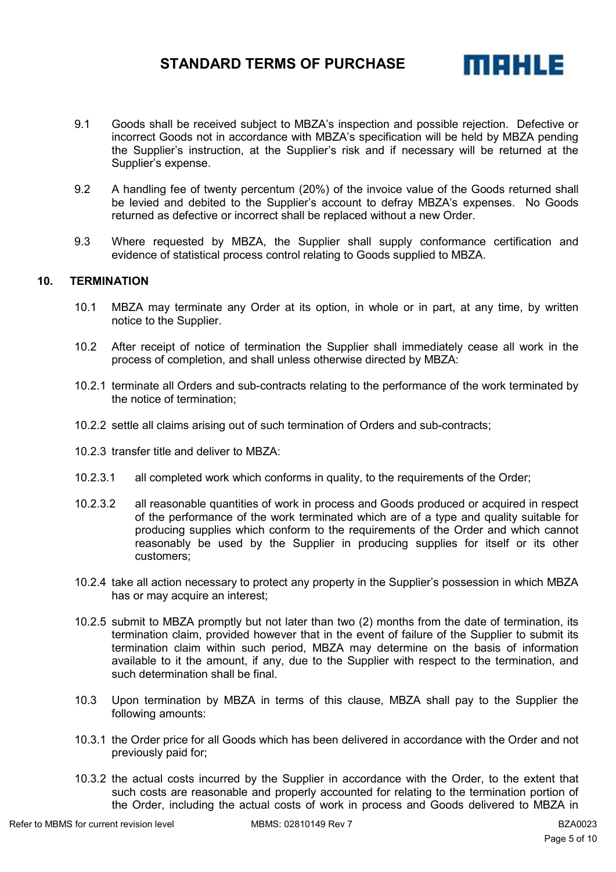

- 9.1 Goods shall be received subject to MBZA's inspection and possible rejection. Defective or incorrect Goods not in accordance with MBZA's specification will be held by MBZA pending the Supplier's instruction, at the Supplier's risk and if necessary will be returned at the Supplier's expense.
- 9.2 A handling fee of twenty percentum (20%) of the invoice value of the Goods returned shall be levied and debited to the Supplier's account to defray MBZA's expenses. No Goods returned as defective or incorrect shall be replaced without a new Order.
- 9.3 Where requested by MBZA, the Supplier shall supply conformance certification and evidence of statistical process control relating to Goods supplied to MBZA.

## **10. TERMINATION**

- 10.1 MBZA may terminate any Order at its option, in whole or in part, at any time, by written notice to the Supplier.
- 10.2 After receipt of notice of termination the Supplier shall immediately cease all work in the process of completion, and shall unless otherwise directed by MBZA:
- 10.2.1 terminate all Orders and sub-contracts relating to the performance of the work terminated by the notice of termination;
- 10.2.2 settle all claims arising out of such termination of Orders and sub-contracts;
- 10.2.3 transfer title and deliver to MBZA:
- 10.2.3.1 all completed work which conforms in quality, to the requirements of the Order;
- 10.2.3.2 all reasonable quantities of work in process and Goods produced or acquired in respect of the performance of the work terminated which are of a type and quality suitable for producing supplies which conform to the requirements of the Order and which cannot reasonably be used by the Supplier in producing supplies for itself or its other customers;
- 10.2.4 take all action necessary to protect any property in the Supplier's possession in which MBZA has or may acquire an interest;
- 10.2.5 submit to MBZA promptly but not later than two (2) months from the date of termination, its termination claim, provided however that in the event of failure of the Supplier to submit its termination claim within such period, MBZA may determine on the basis of information available to it the amount, if any, due to the Supplier with respect to the termination, and such determination shall be final.
- 10.3 Upon termination by MBZA in terms of this clause, MBZA shall pay to the Supplier the following amounts:
- 10.3.1 the Order price for all Goods which has been delivered in accordance with the Order and not previously paid for;
- 10.3.2 the actual costs incurred by the Supplier in accordance with the Order, to the extent that such costs are reasonable and properly accounted for relating to the termination portion of the Order, including the actual costs of work in process and Goods delivered to MBZA in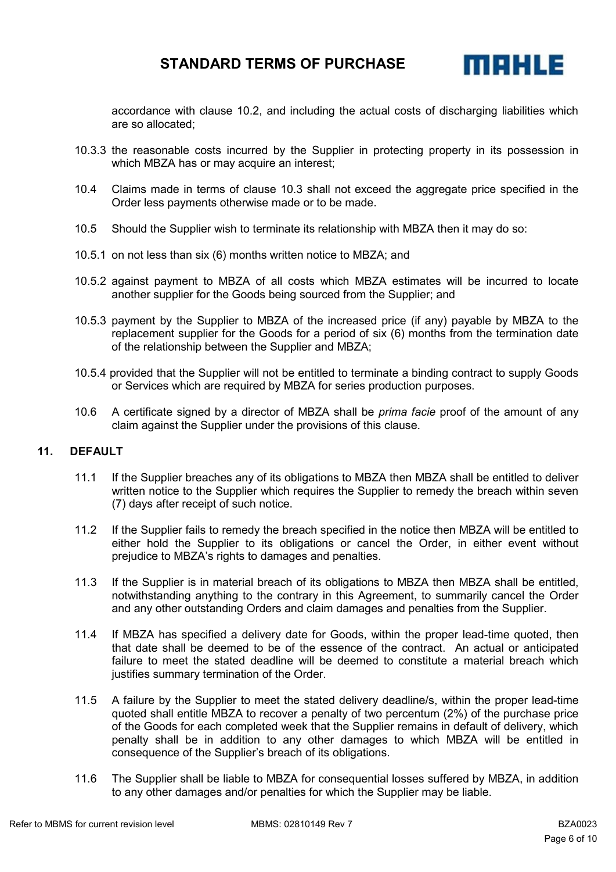

accordance with clause 10.2, and including the actual costs of discharging liabilities which are so allocated;

- 10.3.3 the reasonable costs incurred by the Supplier in protecting property in its possession in which MBZA has or may acquire an interest;
- 10.4 Claims made in terms of clause 10.3 shall not exceed the aggregate price specified in the Order less payments otherwise made or to be made.
- 10.5 Should the Supplier wish to terminate its relationship with MBZA then it may do so:
- 10.5.1 on not less than six (6) months written notice to MBZA; and
- 10.5.2 against payment to MBZA of all costs which MBZA estimates will be incurred to locate another supplier for the Goods being sourced from the Supplier; and
- 10.5.3 payment by the Supplier to MBZA of the increased price (if any) payable by MBZA to the replacement supplier for the Goods for a period of six (6) months from the termination date of the relationship between the Supplier and MBZA;
- 10.5.4 provided that the Supplier will not be entitled to terminate a binding contract to supply Goods or Services which are required by MBZA for series production purposes.
- 10.6 A certificate signed by a director of MBZA shall be *prima facie* proof of the amount of any claim against the Supplier under the provisions of this clause.

## **11. DEFAULT**

- 11.1 If the Supplier breaches any of its obligations to MBZA then MBZA shall be entitled to deliver written notice to the Supplier which requires the Supplier to remedy the breach within seven (7) days after receipt of such notice.
- 11.2 If the Supplier fails to remedy the breach specified in the notice then MBZA will be entitled to either hold the Supplier to its obligations or cancel the Order, in either event without prejudice to MBZA's rights to damages and penalties.
- 11.3 If the Supplier is in material breach of its obligations to MBZA then MBZA shall be entitled, notwithstanding anything to the contrary in this Agreement, to summarily cancel the Order and any other outstanding Orders and claim damages and penalties from the Supplier.
- 11.4 If MBZA has specified a delivery date for Goods, within the proper lead-time quoted, then that date shall be deemed to be of the essence of the contract. An actual or anticipated failure to meet the stated deadline will be deemed to constitute a material breach which justifies summary termination of the Order.
- 11.5 A failure by the Supplier to meet the stated delivery deadline/s, within the proper lead-time quoted shall entitle MBZA to recover a penalty of two percentum (2%) of the purchase price of the Goods for each completed week that the Supplier remains in default of delivery, which penalty shall be in addition to any other damages to which MBZA will be entitled in consequence of the Supplier's breach of its obligations.
- 11.6 The Supplier shall be liable to MBZA for consequential losses suffered by MBZA, in addition to any other damages and/or penalties for which the Supplier may be liable.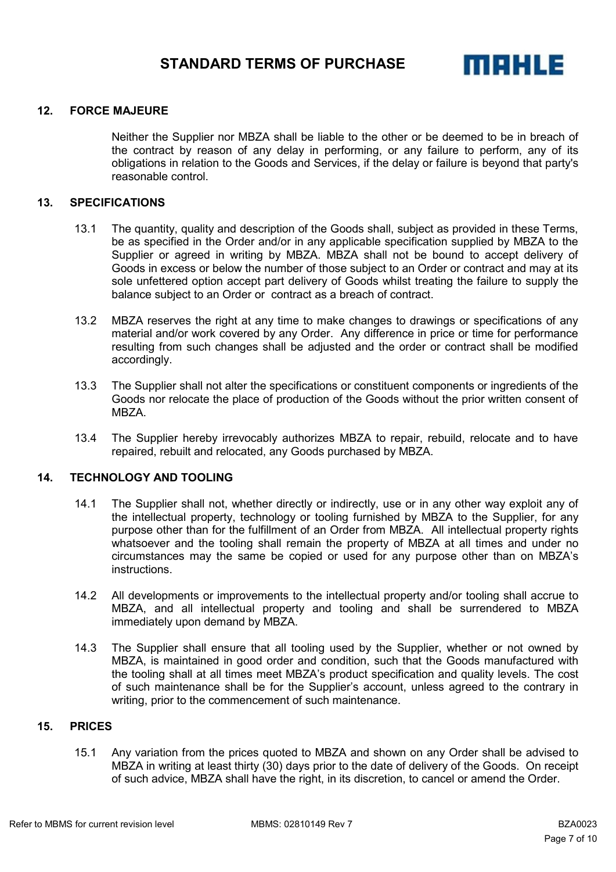

#### **12. FORCE MAJEURE**

Neither the Supplier nor MBZA shall be liable to the other or be deemed to be in breach of the contract by reason of any delay in performing, or any failure to perform, any of its obligations in relation to the Goods and Services, if the delay or failure is beyond that party's reasonable control.

### **13. SPECIFICATIONS**

- 13.1 The quantity, quality and description of the Goods shall, subject as provided in these Terms, be as specified in the Order and/or in any applicable specification supplied by MBZA to the Supplier or agreed in writing by MBZA. MBZA shall not be bound to accept delivery of Goods in excess or below the number of those subject to an Order or contract and may at its sole unfettered option accept part delivery of Goods whilst treating the failure to supply the balance subject to an Order or contract as a breach of contract.
- 13.2 MBZA reserves the right at any time to make changes to drawings or specifications of any material and/or work covered by any Order. Any difference in price or time for performance resulting from such changes shall be adjusted and the order or contract shall be modified accordingly.
- 13.3 The Supplier shall not alter the specifications or constituent components or ingredients of the Goods nor relocate the place of production of the Goods without the prior written consent of MBZA.
- 13.4 The Supplier hereby irrevocably authorizes MBZA to repair, rebuild, relocate and to have repaired, rebuilt and relocated, any Goods purchased by MBZA.

#### **14. TECHNOLOGY AND TOOLING**

- 14.1 The Supplier shall not, whether directly or indirectly, use or in any other way exploit any of the intellectual property, technology or tooling furnished by MBZA to the Supplier, for any purpose other than for the fulfillment of an Order from MBZA. All intellectual property rights whatsoever and the tooling shall remain the property of MBZA at all times and under no circumstances may the same be copied or used for any purpose other than on MBZA's instructions.
- 14.2 All developments or improvements to the intellectual property and/or tooling shall accrue to MBZA, and all intellectual property and tooling and shall be surrendered to MBZA immediately upon demand by MBZA.
- 14.3 The Supplier shall ensure that all tooling used by the Supplier, whether or not owned by MBZA, is maintained in good order and condition, such that the Goods manufactured with the tooling shall at all times meet MBZA's product specification and quality levels. The cost of such maintenance shall be for the Supplier's account, unless agreed to the contrary in writing, prior to the commencement of such maintenance.

## **15. PRICES**

15.1 Any variation from the prices quoted to MBZA and shown on any Order shall be advised to MBZA in writing at least thirty (30) days prior to the date of delivery of the Goods. On receipt of such advice, MBZA shall have the right, in its discretion, to cancel or amend the Order.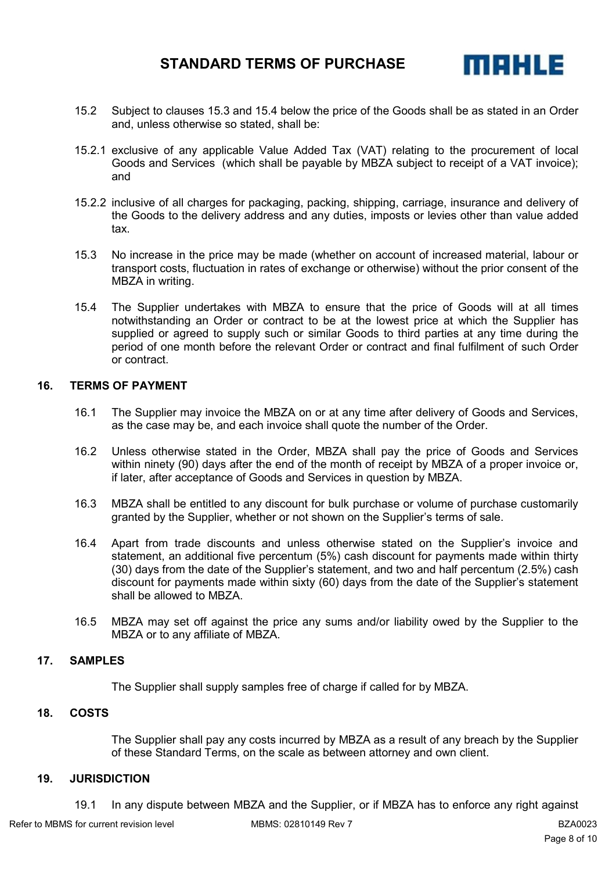

- 15.2 Subject to clauses 15.3 and 15.4 below the price of the Goods shall be as stated in an Order and, unless otherwise so stated, shall be:
- 15.2.1 exclusive of any applicable Value Added Tax (VAT) relating to the procurement of local Goods and Services (which shall be payable by MBZA subject to receipt of a VAT invoice); and
- 15.2.2 inclusive of all charges for packaging, packing, shipping, carriage, insurance and delivery of the Goods to the delivery address and any duties, imposts or levies other than value added tax.
- 15.3 No increase in the price may be made (whether on account of increased material, labour or transport costs, fluctuation in rates of exchange or otherwise) without the prior consent of the MBZA in writing.
- 15.4 The Supplier undertakes with MBZA to ensure that the price of Goods will at all times notwithstanding an Order or contract to be at the lowest price at which the Supplier has supplied or agreed to supply such or similar Goods to third parties at any time during the period of one month before the relevant Order or contract and final fulfilment of such Order or contract.

### **16. TERMS OF PAYMENT**

- 16.1 The Supplier may invoice the MBZA on or at any time after delivery of Goods and Services, as the case may be, and each invoice shall quote the number of the Order.
- 16.2 Unless otherwise stated in the Order, MBZA shall pay the price of Goods and Services within ninety (90) days after the end of the month of receipt by MBZA of a proper invoice or, if later, after acceptance of Goods and Services in question by MBZA.
- 16.3 MBZA shall be entitled to any discount for bulk purchase or volume of purchase customarily granted by the Supplier, whether or not shown on the Supplier's terms of sale.
- 16.4 Apart from trade discounts and unless otherwise stated on the Supplier's invoice and statement, an additional five percentum (5%) cash discount for payments made within thirty (30) days from the date of the Supplier's statement, and two and half percentum (2.5%) cash discount for payments made within sixty (60) days from the date of the Supplier's statement shall be allowed to MBZA.
- 16.5 MBZA may set off against the price any sums and/or liability owed by the Supplier to the MBZA or to any affiliate of MBZA.

#### **17. SAMPLES**

The Supplier shall supply samples free of charge if called for by MBZA.

## **18. COSTS**

The Supplier shall pay any costs incurred by MBZA as a result of any breach by the Supplier of these Standard Terms, on the scale as between attorney and own client.

#### **19. JURISDICTION**

19.1 In any dispute between MBZA and the Supplier, or if MBZA has to enforce any right against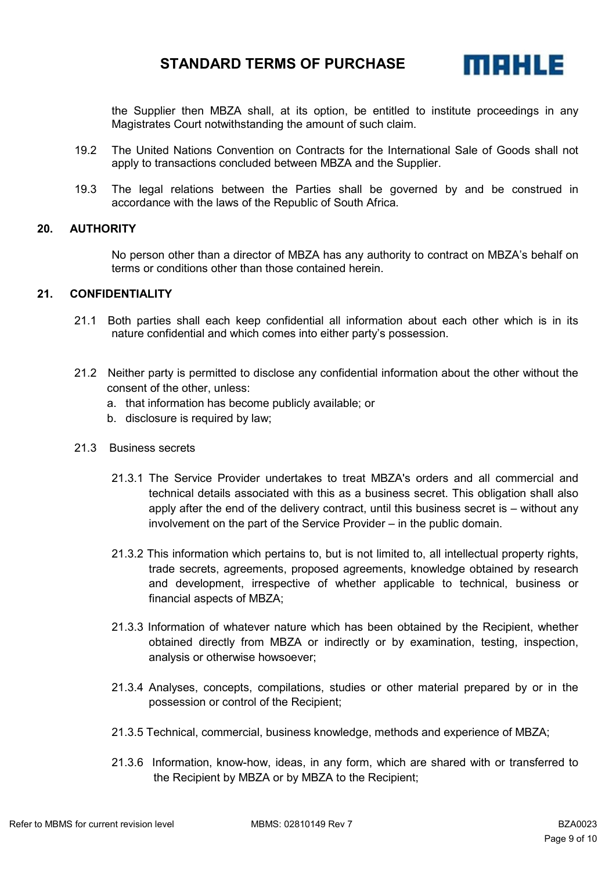

the Supplier then MBZA shall, at its option, be entitled to institute proceedings in any Magistrates Court notwithstanding the amount of such claim.

- 19.2 The United Nations Convention on Contracts for the International Sale of Goods shall not apply to transactions concluded between MBZA and the Supplier.
- 19.3 The legal relations between the Parties shall be governed by and be construed in accordance with the laws of the Republic of South Africa.

#### **20. AUTHORITY**

No person other than a director of MBZA has any authority to contract on MBZA's behalf on terms or conditions other than those contained herein.

### **21. CONFIDENTIALITY**

- 21.1 Both parties shall each keep confidential all information about each other which is in its nature confidential and which comes into either party's possession.
- 21.2 Neither party is permitted to disclose any confidential information about the other without the consent of the other, unless:
	- a. that information has become publicly available; or
	- b. disclosure is required by law;
- 21.3 Business secrets
	- 21.3.1 The Service Provider undertakes to treat MBZA's orders and all commercial and technical details associated with this as a business secret. This obligation shall also apply after the end of the delivery contract, until this business secret is – without any involvement on the part of the Service Provider – in the public domain.
	- 21.3.2 This information which pertains to, but is not limited to, all intellectual property rights, trade secrets, agreements, proposed agreements, knowledge obtained by research and development, irrespective of whether applicable to technical, business or financial aspects of MBZA;
	- 21.3.3 Information of whatever nature which has been obtained by the Recipient, whether obtained directly from MBZA or indirectly or by examination, testing, inspection, analysis or otherwise howsoever;
	- 21.3.4 Analyses, concepts, compilations, studies or other material prepared by or in the possession or control of the Recipient;
	- 21.3.5 Technical, commercial, business knowledge, methods and experience of MBZA;
	- 21.3.6 Information, know-how, ideas, in any form, which are shared with or transferred to the Recipient by MBZA or by MBZA to the Recipient;